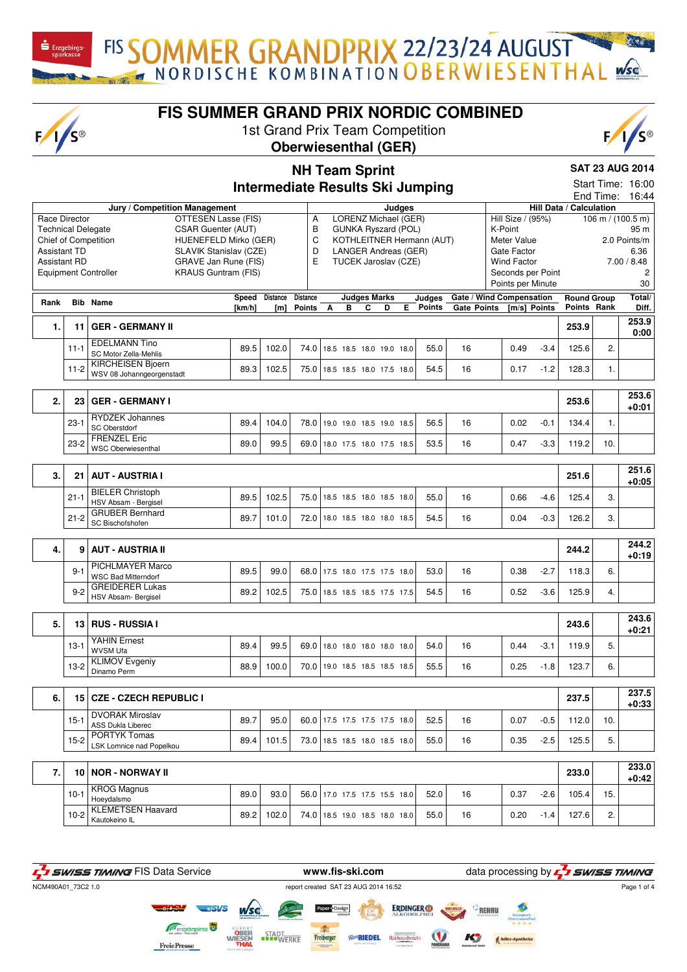$F/1/S^{\circ}$ 

**Rank Rib Name** 

**FIS SUMMER GRAND PRIX NORDIC COMBINED**

FIS SOMMER GRANDPRIX 22/23/24 AUGUST

1st Grand Prix Team Competition **Oberwiesenthal (GER)**



**Total/ Diff.**

**SAT 23 AUG 2014** Start Time: 16:00 End Time: 16:44

**Round Group Points Rank**

## **NH Team Sprint Intermediate Results Ski Jumping Jury / Competition Management Judges Hill Data / Calculation** Race Director **OTTESEN Lasse (FIS)** Technical Delegate CSAR Guenter (AUT) Chief of Competition HUENEFELD Mirko (GER) Assistant TD SLAVIK Stanislav (CZE) Assistant RD GRAVE Jan Rune (FIS)<br>Equipment Controller KRAUS Guntram (FIS) KRAUS Guntram (FIS) A LORENZ Michael (GER) B GUNKA Ryszard (POL) C KOTHLEITNER Hermann (AUT) D LANGER Andreas (GER) E TUCEK Jaroslav (CZE) Hill Size / (95%) 106 m / (100.5 m)<br>K-Point 95 m K-Point Meter Value 2.0 Points/m Gate Factor 6.36 Wind Factor 7.00 / 8.48<br>Seconds per Point 2 Seconds per Point Points per Minute 30 **[km/h] Distance Distance [m] Points Judges Marks B** C **Judges Points Gate / Wind Compensation Gate Points [m/s] Points 1. 11 GER - GERMANY II 253.9 253.9**

|       | I GER - GERMANY II                                    |      |       |                                 |  |  |      |      |    |      |                  | 253.9 |               | 0:00 |
|-------|-------------------------------------------------------|------|-------|---------------------------------|--|--|------|------|----|------|------------------|-------|---------------|------|
|       | <b>EDELMANN Tino</b><br>SC Motor Zella-Mehlis         | 89.5 | 102.0 | 74.0 18.5 18.5 18.0 19.0        |  |  | 18.0 | 55.0 | 16 | 0.49 | $-3.4$           | 125.6 | C<br><u>.</u> |      |
| 1-2 I | KIRCHEISEN Bioern<br><b>WSV 08 Johanngeorgenstadt</b> | 89.3 | 102.5 | 75.0   18.5 18.5 18.0 17.5 18.0 |  |  |      | 54.5 | 16 | 0.17 | 1.2 <sub>1</sub> | 128.3 |               |      |

| n.<br>Ζ. |          | 23 GER - GERMANY I                        |      |       |                               |  |  |      |    |      |        | 253.6 |     | 253.6<br>$+0:01$ |
|----------|----------|-------------------------------------------|------|-------|-------------------------------|--|--|------|----|------|--------|-------|-----|------------------|
|          | $23 - 1$ | I RYDZEK Johannes<br><b>SC Oberstdorf</b> | 89.4 | 104.0 | 78.0 19.0 19.0 18.5 19.0 18.5 |  |  | 56.5 | 16 | 0.02 | $-0.1$ | 134.4 |     |                  |
|          | $23-2$   | <b>FRENZEL Eric</b><br>WSC Oberwiesenthal | 89.0 | 99.5  | 69.0 18.0 17.5 18.0 17.5 18.5 |  |  | 53.5 | 16 | 0.47 | $-3.3$ | 119.2 | 10. |                  |

|          | 21   AUT - AUSTRIA I                     |      |       |                               |  |      |    |      |        | 251.6 |   | 251.6<br>+0:05 |
|----------|------------------------------------------|------|-------|-------------------------------|--|------|----|------|--------|-------|---|----------------|
| $21 - 1$ | BIELER Christoph<br>HSV Absam - Bergisel | 89.5 | 102.5 | 75.0 18.5 18.5 18.0 18.5 18.0 |  | 55.0 | 16 | 0.66 | -4.6   | 125.4 | ີ |                |
| $21 - 2$ | l GRUBER Bernhard<br>l SC Bischofshofen  | 89.7 | 101.0 | 72.0 18.0 18.5 18.0 18.0 18.5 |  | 54.5 | 16 | 0.04 | $-0.3$ | 126.2 | ີ |                |

| 4. |       | AUT - AUSTRIA II                                 |      |       |                               |      |    |      |        | 244.2 |    | 244.2<br>+0:19 |
|----|-------|--------------------------------------------------|------|-------|-------------------------------|------|----|------|--------|-------|----|----------------|
|    | 9-    | l PICHLMAYER Marco<br><b>WSC Bad Mitterndorf</b> | 89.5 | 99.0  | 68.0 17.5 18.0 17.5 17.5 18.0 | 53.0 | 16 | 0.38 | $-2.7$ | 18.3  | 6. |                |
|    | $9-2$ | I GREIDERER Lukas<br>HSV Absam- Bergisel         | 89.2 | 102.5 | 75.0 18.5 18.5 18.5 17.5 17.5 | 54.5 | 16 | 0.52 | $-3.6$ | 125.9 | 4. |                |

| 5. |        | 13 RUS - RUSSIA I                    |      |       |                               |  |      |    |      |        | 243.6 |    | 243.6<br>$+0.21$ |
|----|--------|--------------------------------------|------|-------|-------------------------------|--|------|----|------|--------|-------|----|------------------|
|    | $13-1$ | <b>YAHIN Ernest</b><br>WVSM Ufa      | 89.4 | 99.5  | 69.0 18.0 18.0 18.0 18.0 18.0 |  | 54.0 | 16 | 0.44 | $-3.1$ | 119.9 | 5. |                  |
|    | $13-2$ | <b>KLIMOV Evgeniy</b><br>Dinamo Perm | 88.9 | 100.0 | 70.0 19.0 18.5 18.5 18.5 18.5 |  | 55.5 | 16 | 0.25 | $-1.8$ | 123.7 | 6. |                  |
|    |        |                                      |      |       |                               |  |      |    |      |        |       |    |                  |
| 6. |        | 15   CZE - CZECH REPUBLIC I          |      |       |                               |  |      |    |      |        | 237.5 |    | 237.5<br>0.00    |

|        |                                      |                                        |  |               |  |  |      |                                                                |      |        | ----- |        | $+0.33$          |
|--------|--------------------------------------|----------------------------------------|--|---------------|--|--|------|----------------------------------------------------------------|------|--------|-------|--------|------------------|
| $15 -$ | DVORAK Miroslav<br>ASS Dukla Liberec | 89.7                                   |  |               |  |  | 52.5 | 16                                                             | 0.07 | $-0.5$ | 112.0 | 10.    |                  |
| $15-2$ | LSK Lomnice nad Popelkou             | 89.4                                   |  |               |  |  | 55.0 | 16                                                             | 0.35 |        | 125.5 | 5.     |                  |
|        |                                      |                                        |  |               |  |  |      |                                                                |      |        |       |        |                  |
|        |                                      |                                        |  |               |  |  |      |                                                                |      |        | 233.0 |        | 233.0<br>$-0.42$ |
|        | ---                                  | l PORTYK Tomas<br>10   NOR - NORWAY II |  | 95.0<br>101.5 |  |  |      | 60.0 17.5 17.5 17.5 17.5 18.0<br>73.0 18.5 18.5 18.0 18.5 18.0 |      |        |       | $-2.5$ |                  |

| . |          |                    |      |                 |                               |  |      |    |      |        | ---- |              | $+0:42$ |
|---|----------|--------------------|------|-----------------|-------------------------------|--|------|----|------|--------|------|--------------|---------|
|   | $10 - i$ | <b>KROG Magnus</b> | 89.0 | 93.0            | 56.0 17.0 17.5 17.5 15.5 18.0 |  | 52.0 | 16 | 0.37 | $-2.6$ | 05.4 | 15.          |         |
|   |          | Hoevdalsmo         |      |                 |                               |  |      |    |      |        |      |              |         |
|   | $10-2$   | LEMETSEN Haavard   | 89.2 | $^{\circ}$ 02.0 | 74.0 18.5 19.0 18.5 18.0 18.0 |  | 55.0 | 16 | 0.20 | . 4    | 27.6 | $\sim$<br>۷. |         |
|   |          | Kautokeino IL      |      |                 |                               |  |      |    |      |        |      |              |         |

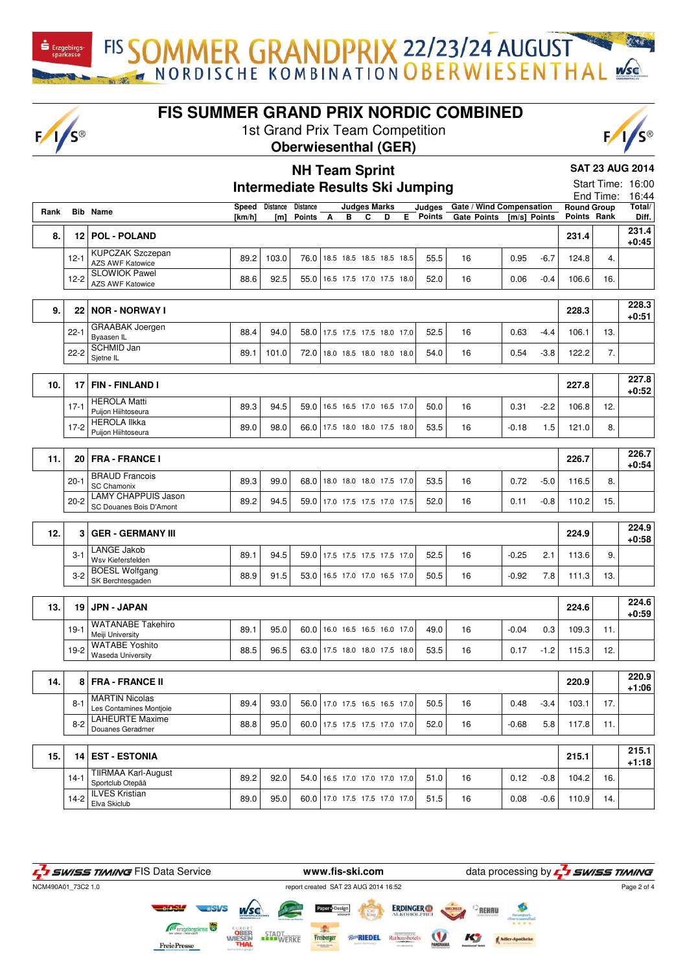FISSOMMER GRANDPRIX 22/23/24 AUGUST  $\mathbf{\dot{S}}$  Erzgebirgs-

 $F/1/s$ 

**FIS SUMMER GRAND PRIX NORDIC COMBINED**

1st Grand Prix Team Competition

**NH Team Sprint**





**SAT 23 AUG 2014**

## **Intermediate Results Ski Jumping** Start Time: 16:00 End Time: 16:44 **Rank Rib Name [km/h] Distance Distance [m] Points Judges Marks A B C D E Judges Gate / Wind Compensation Points Gate Points [m/s] Points Round Group Points Rank Total/ Diff. 8. 12 POL - POLAND 231.4 231.4 +0:45** 12-1 KUPCZAK Szczepan AZS AWF Katowice 89.2 103.0 76.0 18.5 18.5 18.5 18.5 18.5 55.5 16 0.95 -6.7 124.8 4. 12-2 SLOWIOK Pawel AZS AWF Katowice **88.6** 88.6 82.5 55.0 16.5 17.5 17.0 17.5 18.0 52.0 16 0.06 -0.4 106.6 16.<br>AZS AWF Katowice **9. 22 NOR - NORWAY I 228.3 228.3 +0:51** 22-1 GRAABAK Joergen Byaasen IL **88.4** 88.4 84.0 58.0 17.5 17.5 17.5 18.0 17.0 52.5 16 0.63 -4.4 106.1 13. 22-2 SCHMID Jan Sjetne IL **89.1** 101.0 72.0 18.5 18.0 18.0 18.0 18.0 16 0.54 -3.8 122.2 7.<br>Sjetne IL **10. 17 FIN - FINLAND I 227.8 227.8 +0:52** 17-1 HEROLA Matti Puijon Hiihtoseura 89.3 94.5 59.0 16.5 16.5 17.0 16.5 17.0 50.0 16 0.31 -2.2 106.8 12. 17-2 HEROLA Ilkka Puijon Hiihtoseura 89.0 98.0 66.0 17.5 18.0 18.0 17.5 18.0 53.5 16 -0.18 1.5 121.0 8. **11. 20 FRA - FRANCE I 226.7 226.7 +0:54** 20-1 BRAUD Francois<br>SC Chamonix SC Chamonix **89.3** 89.3 99.0 68.0 18.0 18.0 17.5 17.0 53.5 16 0.72 -5.0 116.5 8. 20-2 LAMY CHAPPUIS Jason  $89.2$  94.5  $59.0$  17.0 17.5 17.5 17.0 17.5 52.0 16 0.11 -0.8 110.2 15. **12. 3 GER - GERMANY III 224.9 224.9 +0:58** 3-1 LANGE Jakob Let it due to the United States of the United States of the States of the States of the States of the States o<br>Wsv Kiefersfelden and the States of the States of the States of the States of the States of the States of the S 3-2 BOESL Wolfgang<br>SK Berchtesgaden 88.9 91.5 53.0 16.5 17.0 16.5 17.0 50.5 16  $\cdot$  -0.92 7.8 111.3 13. **13. 19 JPN - JAPAN 224.6 224.6 +0:59** 19-1 WATANABE Takehiro WWW.W.W.DL 1.0.0.1 89.1 89.1 89.1 85.0 60.0 16.0 16.5 16.5 16.0 17.0 49.0 16 16.0 -0.04 0.3 109.3 11. 19-2 WATABE Yoshito Waseda University **88.5** 88.5 88.5 63.0 17.5 18.0 18.0 17.5 18.0 53.5 16 0.17 -1.2 115.3 12. **14. 8 FRA - FRANCE II 220.9 220.9 +1:06** 8-1 MARTIN Nicolas MARTIN NICOIAS<br>Les Contamines Montioie | 89.4 | 93.0 | 56.0 | 17.0 17.5 16.5 16.5 17.0 | 50.5 | 16 | 0.48 -3.4 | 103.1 | 17 8-2 LAHEURTE Maxime Douanes Geradmer [88.8 | 88.8 | 95.0 | 60.0 | 17.5 17.5 17.5 17.0 | 7.0 | 52.0 | 16 | -0.68 5.8 | 117.8 | 11.<br>Douanes Geradmer **15. 14 EST - ESTONIA 215.1 215.1 +1:18** 14-1 TIIRMAA Karl-August 89.2 92.0 54.0 16.5 17.0 17.0 17.0 51.0 16 0.12 -0.8 104.2 16 14-2 **ILVES Kristian** Elva Skiclub 89.0 95.0 60.0 17.0 17.5 17.5 17.0 17.0 51.5 16 0.08 -0.6 110.9 14.

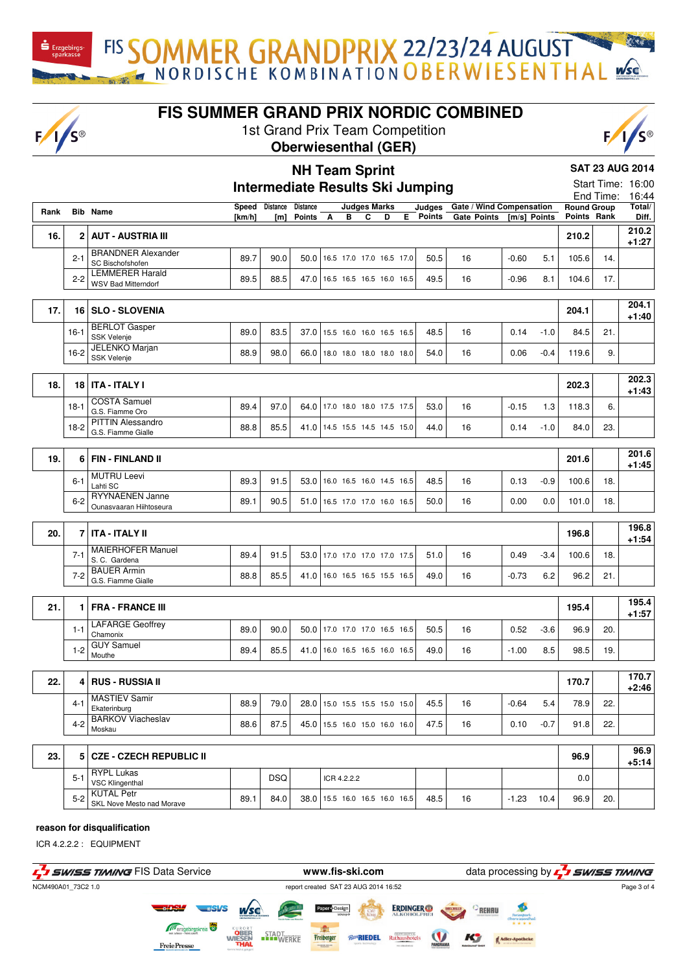$F/I/S^{\circledcirc}$ 

**FIS SUMMER GRAND PRIX NORDIC COMBINED**

FIS SOMMER GRANDPRIX 22/23/24 AUGUST

1st Grand Prix Team Competition





**SAT 23 AUG 2014**

|      |              |                                                   |              |            |                 |             |                     |                                 |    | <b>Intermediate Results Ski Jumping</b> |                          |              |        |                    |           | Start Time: 16:00 |
|------|--------------|---------------------------------------------------|--------------|------------|-----------------|-------------|---------------------|---------------------------------|----|-----------------------------------------|--------------------------|--------------|--------|--------------------|-----------|-------------------|
|      |              |                                                   |              |            |                 |             |                     |                                 |    |                                         |                          |              |        |                    | End Time: | 16:44             |
| Rank |              | <b>Bib Name</b>                                   | <b>Speed</b> | Distance   | <b>Distance</b> |             | <b>Judges Marks</b> |                                 |    | Judaes                                  | Gate / Wind Compensation |              |        | <b>Round Group</b> |           | Total/            |
|      |              |                                                   | [km/h]       | [m]        | Points A        | в           | C                   | D                               | E. | <b>Points</b>                           | <b>Gate Points</b>       | [m/s] Points |        | Points Rank        |           | Diff.             |
| 16.  | $\mathbf{2}$ | <b>AUT - AUSTRIA III</b>                          |              |            |                 |             |                     |                                 |    |                                         |                          |              |        | 210.2              |           | 210.2<br>$+1:27$  |
|      | $2 - 1$      | <b>BRANDNER Alexander</b><br>SC Bischofshofen     | 89.7         | 90.0       |                 |             |                     | 50.0   16.5 17.0 17.0 16.5 17.0 |    | 50.5                                    | 16                       | $-0.60$      | 5.1    | 105.6              | 14.       |                   |
|      | $2 - 2$      | <b>LEMMERER Harald</b>                            | 89.5         | 88.5       |                 |             |                     | 47.0   16.5 16.5 16.5 16.0 16.5 |    | 49.5                                    | 16                       | $-0.96$      | 8.1    | 104.6              | 17.       |                   |
|      |              | <b>WSV Bad Mitterndorf</b>                        |              |            |                 |             |                     |                                 |    |                                         |                          |              |        |                    |           |                   |
| 17.  | 16           | <b>SLO - SLOVENIA</b>                             |              |            |                 |             |                     |                                 |    |                                         |                          |              |        | 204.1              |           | 204.1<br>$+1:40$  |
|      | $16-1$       | <b>BERLOT</b> Gasper<br>SSK Velenje               | 89.0         | 83.5       |                 |             |                     | 37.0 15.5 16.0 16.0 16.5 16.5   |    | 48.5                                    | 16                       | 0.14         | $-1.0$ | 84.5               | 21.       |                   |
|      | $16-2$       | <b>JELENKO Marjan</b><br><b>SSK Velenje</b>       | 88.9         | 98.0       |                 |             |                     | 66.0 18.0 18.0 18.0 18.0 18.0   |    | 54.0                                    | 16                       | 0.06         | $-0.4$ | 119.6              | 9.        |                   |
|      |              |                                                   |              |            |                 |             |                     |                                 |    |                                         |                          |              |        |                    |           |                   |
| 18.  | 18           | <b>ITA - ITALY I</b>                              |              |            |                 |             |                     |                                 |    |                                         |                          |              |        | 202.3              |           | 202.3<br>$+1:43$  |
|      | $18-1$       | <b>COSTA Samuel</b><br>G.S. Fiamme Oro            | 89.4         | 97.0       | 64.0            |             |                     | 17.0 18.0 18.0 17.5 17.5        |    | 53.0                                    | 16                       | $-0.15$      | 1.3    | 118.3              | 6.        |                   |
|      | $18-2$       | <b>PITTIN Alessandro</b><br>G.S. Fiamme Gialle    | 88.8         | 85.5       | 41.0            |             |                     | 14.5 15.5 14.5 14.5 15.0        |    | 44.0                                    | 16                       | 0.14         | $-1.0$ | 84.0               | 23.       |                   |
|      |              |                                                   |              |            |                 |             |                     |                                 |    |                                         |                          |              |        |                    |           |                   |
| 19.  | 6            | <b>FIN - FINLAND II</b>                           |              |            |                 |             |                     |                                 |    |                                         |                          |              |        |                    |           | 201.6             |
|      |              |                                                   |              |            |                 |             |                     |                                 |    |                                         |                          |              |        | 201.6              |           | $+1:45$           |
|      | $6 - 1$      | <b>MUTRU Leevi</b><br>Lahti SC                    | 89.3         | 91.5       |                 |             |                     | 53.0 16.0 16.5 16.0 14.5 16.5   |    | 48.5                                    | 16                       | 0.13         | $-0.9$ | 100.6              | 18.       |                   |
|      | $6 - 2$      | <b>RYYNAENEN Janne</b><br>Ounasvaaran Hiihtoseura | 89.1         | 90.5       |                 |             |                     | 51.0   16.5 17.0 17.0 16.0 16.5 |    | 50.0                                    | 16                       | 0.00         | 0.0    | 101.0              | 18.       |                   |
|      |              |                                                   |              |            |                 |             |                     |                                 |    |                                         |                          |              |        |                    |           |                   |
| 20.  |              | 7   ITA - ITALY II                                |              |            |                 |             |                     |                                 |    |                                         |                          |              |        | 196.8              |           | 196.8<br>+1:54    |
|      | $7 - 1$      | <b>MAIERHOFER Manuel</b><br>S. C. Gardena         | 89.4         | 91.5       | 53.0            |             |                     | 17.0 17.0 17.0 17.0 17.5        |    | 51.0                                    | 16                       | 0.49         | $-3.4$ | 100.6              | 18.       |                   |
|      | $7 - 2$      | <b>BAUER Armin</b><br>G.S. Fiamme Gialle          | 88.8         | 85.5       |                 |             |                     | 41.0 16.0 16.5 16.5 15.5 16.5   |    | 49.0                                    | 16                       | $-0.73$      | 6.2    | 96.2               | 21.       |                   |
|      |              |                                                   |              |            |                 |             |                     |                                 |    |                                         |                          |              |        |                    |           |                   |
| 21.  | 1            | <b>FRA - FRANCE III</b>                           |              |            |                 |             |                     |                                 |    |                                         |                          |              |        | 195.4              |           | 195.4<br>$+1:57$  |
|      | $1 - 1$      | <b>LAFARGE Geoffrey</b><br>Chamonix               | 89.0         | 90.0       |                 |             |                     | 50.0 17.0 17.0 17.0 16.5 16.5   |    | 50.5                                    | 16                       | 0.52         | $-3.6$ | 96.9               | 20.       |                   |
|      | $1 - 2$      | <b>GUY Samuel</b><br>Mouthe                       | 89.4         | 85.5       |                 |             |                     | 41.0 16.0 16.5 16.5 16.0 16.5   |    | 49.0                                    | 16                       | $-1.00$      | 8.5    | 98.5               | 19.       |                   |
|      |              |                                                   |              |            |                 |             |                     |                                 |    |                                         |                          |              |        |                    |           |                   |
| 22.  | 4            | <b>RUS - RUSSIA II</b>                            |              |            |                 |             |                     |                                 |    |                                         |                          |              |        | 170.7              |           | 170.7<br>$+2:46$  |
|      | 4-1          | <b>MASTIEV Samir</b><br>Ekaterinburg              | 88.9         | 79.0       |                 |             |                     | 28.0   15.0 15.5 15.5 15.0 15.0 |    | 45.5                                    | 16                       | $-0.64$      | 5.4    | 78.9               | 22.       |                   |
|      | $4 - 2$      | <b>BARKOV Viacheslav</b><br>Moskau                | 88.6         | 87.5       |                 |             |                     | 45.0 15.5 16.0 15.0 16.0 16.0   |    | 47.5                                    | 16                       | 0.10         | $-0.7$ | 91.8               | 22.       |                   |
|      |              |                                                   |              |            |                 |             |                     |                                 |    |                                         |                          |              |        |                    |           |                   |
| 23.  | 5            | <b>CZE - CZECH REPUBLIC II</b>                    |              |            |                 |             |                     |                                 |    |                                         |                          |              |        | 96.9               |           | 96.9<br>+5:14     |
|      | $5 - 1$      | <b>RYPL Lukas</b><br><b>VSC Klingenthal</b>       |              | <b>DSQ</b> |                 | ICR 4.2.2.2 |                     |                                 |    |                                         |                          |              |        | 0.0                |           |                   |
|      | $5-2$        | <b>KUTAL Petr</b><br>SKL Nove Mesto nad Morave    | 89.1         | 84.0       |                 |             |                     | 38.0   15.5 16.0 16.5 16.0 16.5 |    | 48.5                                    | 16                       | -1.23        | 10.4   | 96.9               | 20.       |                   |

## **reason for disqualification**

ICR 4.2.2.2 : EQUIPMENT